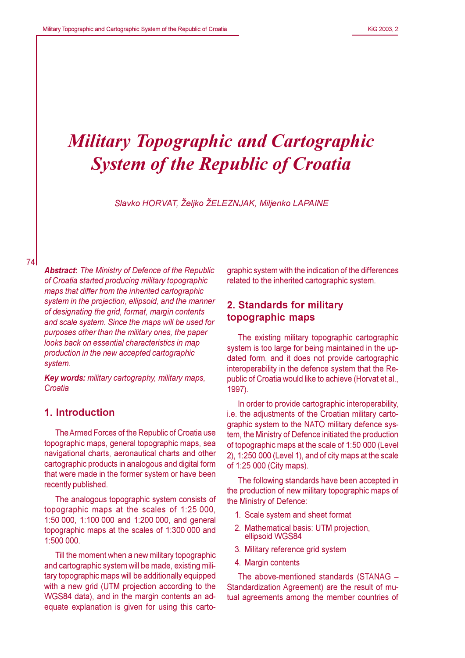# **Military Topographic and Cartographic System of the Republic of Croatia**

Slavko HORVAT, Željko ŽELEZNJAK, Miljenko LAPAINE

**Abstract:** The Ministry of Defence of the Republic of Croatia started producing military topographic maps that differ from the inherited cartographic system in the projection, ellipsoid, and the manner of designating the grid, format, margin contents and scale system. Since the maps will be used for purposes other than the military ones, the paper looks back on essential characteristics in map production in the new accepted cartographic system.

Key words: military cartography, military maps, Croatia

## 1. Introduction

The Armed Forces of the Republic of Croatia use topographic maps, general topographic maps, sea navigational charts, aeronautical charts and other cartographic products in analogous and digital form that were made in the former system or have been recently published.

The analogous topographic system consists of topographic maps at the scales of 1:25 000, 1:50 000, 1:100 000 and 1:200 000, and general topographic maps at the scales of 1:300 000 and 1:500 000.

Till the moment when a new military topographic and cartographic system will be made, existing military topographic maps will be additionally equipped with a new grid (UTM projection according to the WGS84 data), and in the margin contents an adequate explanation is given for using this cartographic system with the indication of the differences related to the inherited cartographic system.

# 2. Standards for military topographic maps

The existing military topographic cartographic system is too large for being maintained in the updated form, and it does not provide cartographic interoperability in the defence system that the Republic of Croatia would like to achieve (Horvat et al., 1997).

In order to provide cartographic interoperability, i.e. the adjustments of the Croatian military cartographic system to the NATO military defence system, the Ministry of Defence initiated the production of topographic maps at the scale of 1:50 000 (Level 2), 1:250 000 (Level 1), and of city maps at the scale of 1:25 000 (City maps).

The following standards have been accepted in the production of new military topographic maps of the Ministry of Defence:

- 1. Scale system and sheet format
- 2. Mathematical basis: UTM projection, ellipsoid WGS84
- 3. Military reference grid system
- 4. Margin contents

The above-mentioned standards (STANAG -Standardization Agreement) are the result of mutual agreements among the member countries of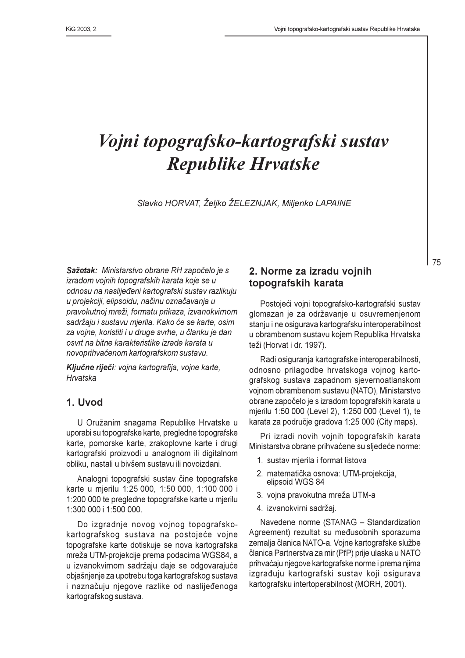# Vojni topografsko-kartografski sustav **Republike Hrvatske**

Slavko HORVAT, Željko ŽELEZNJAK, Miljenko LAPAINE

Sažetak: Ministarstvo obrane RH započelo je s izradom vojnih topografskih karata koje se u odnosu na naslijeđeni kartografski sustav razlikuju u projekciji, elipsoidu, načinu označavanja u pravokutnoj mreži, formatu prikaza, izvanokvirnom sadržaju i sustavu mjerila. Kako će se karte, osim za vojne, koristiti i u druge svrhe, u članku je dan osvrt na bitne karakteristike izrade karata u novoprihvaćenom kartografskom sustavu.

Ključne riječi: vojna kartografija, vojne karte, Hrvatska

## 1. Uvod

U Oružanim snagama Republike Hrvatske u uporabi su topografske karte, pregledne topografske karte, pomorske karte, zrakoplovne karte i drugi kartografski proizvodi u analognom ili digitalnom obliku, nastali u bivšem sustavu ili novoizdani.

Analogni topografski sustav čine topografske karte u mjerilu 1:25 000, 1:50 000, 1:100 000 i 1:200 000 te pregledne topografske karte u mjerilu 1:300 000 i 1:500 000.

Do izgradnje novog vojnog topografskokartografskog sustava na postojeće vojne topografske karte dotiskuje se nova kartografska mreža UTM-projekcije prema podacima WGS84, a u izvanokvirnom sadržaju daje se odgovarajuće objašnjenje za upotrebu toga kartografskog sustava i naznačuju njegove razlike od naslijeđenoga kartografskog sustava.

## 2. Norme za izradu vojnih topografskih karata

Postojeći vojni topografsko-kartografski sustav glomazan je za održavanje u osuvremenjenom stanju i ne osigurava kartografsku interoperabilnost u obrambenom sustavu kojem Republika Hrvatska teži (Horvat i dr. 1997).

Radi osiguranja kartografske interoperabilnosti, odnosno prilagodbe hrvatskoga vojnog kartografskog sustava zapadnom sjevernoatlanskom vojnom obrambenom sustavu (NATO), Ministarstvo obrane započelo je s izradom topografskih karata u mjerilu 1:50 000 (Level 2), 1:250 000 (Level 1), te karata za područje gradova 1:25 000 (City maps).

Pri izradi novih vojnih topografskih karata Ministarstva obrane prihvaćene su sljedeće norme:

- 1. sustav mjerila i format listova
- 2. matematička osnova: UTM-projekcija, elipsoid WGS 84
- 3. vojna pravokutna mreža UTM-a
- 4. izvanokvirni sadržaj.

Navedene norme (STANAG - Standardization Agreement) rezultat su međusobnih sporazuma zemalja članica NATO-a. Vojne kartografske službe članica Partnerstva za mir (PfP) prije ulaska u NATO prihvaćaju njegove kartografske norme i prema njima izgrađuju kartografski sustav koji osigurava kartografsku intertoperabilnost (MORH, 2001).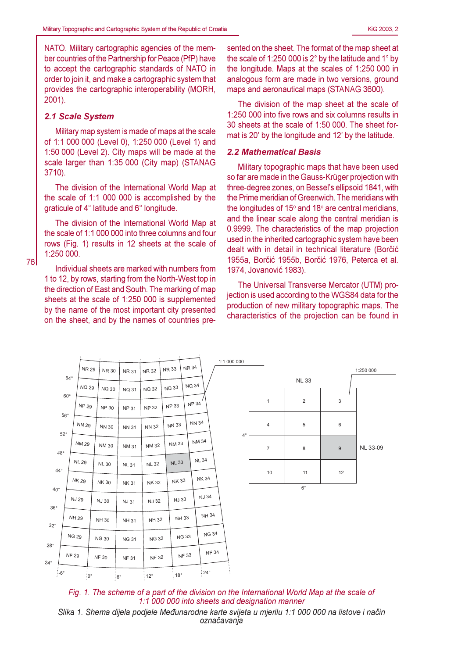NATO. Military cartographic agencies of the member countries of the Partnership for Peace (PfP) have to accept the cartographic standards of NATO in order to join it, and make a cartographic system that provides the cartographic interoperability (MORH,  $2001$ ).

#### 2.1 Scale System

76

Military map system is made of maps at the scale of 1:1 000 000 (Level 0), 1:250 000 (Level 1) and 1:50 000 (Level 2). City maps will be made at the scale larger than 1:35 000 (City map) (STANAG  $3710$ ).

The division of the International World Map at the scale of 1:1 000 000 is accomplished by the graticule of 4° latitude and 6° longitude.

The division of the International World Map at the scale of 1:1 000 000 into three columns and four rows (Fig. 1) results in 12 sheets at the scale of 1:250 000.

Individual sheets are marked with numbers from 1 to 12, by rows, starting from the North-West top in the direction of East and South. The marking of map sheets at the scale of 1:250 000 is supplemented by the name of the most important city presented on the sheet, and by the names of countries pre-

sented on the sheet. The format of the map sheet at the scale of 1:250 000 is  $2^{\circ}$  by the latitude and 1 $^{\circ}$  by the longitude. Maps at the scales of 1:250 000 in analogous form are made in two versions, ground maps and aeronautical maps (STANAG 3600).

The division of the map sheet at the scale of 1:250 000 into five rows and six columns results in 30 sheets at the scale of 1:50 000. The sheet format is 20' by the longitude and 12' by the latitude.

#### **2.2 Mathematical Basis**

Military topographic maps that have been used so far are made in the Gauss-Krüger projection with three-degree zones, on Bessel's ellipsoid 1841, with the Prime meridian of Greenwich. The meridians with the longitudes of 15° and 18° are central meridians. and the linear scale along the central meridian is 0.9999. The characteristics of the map projection used in the inherited cartographic system have been dealt with in detail in technical literature (Borčić 1955a, Borčić 1955b, Borčić 1976, Peterca et al. 1974, Jovanović 1983).

The Universal Transverse Mercator (UTM) projection is used according to the WGS84 data for the production of new military topographic maps. The characteristics of the projection can be found in





označavanja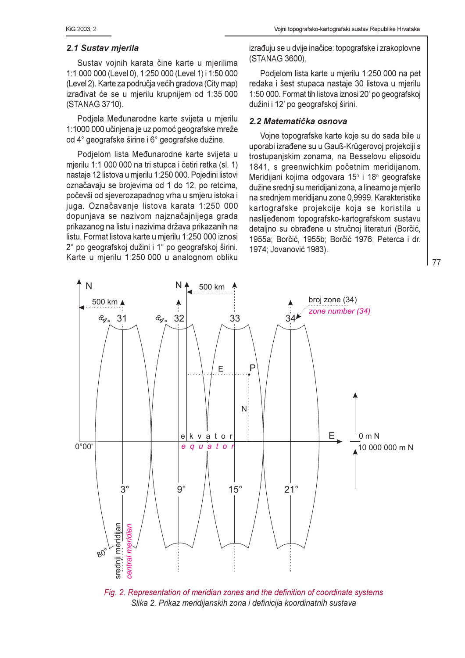#### 2.1 Sustav mierila

Sustav vojnih karata čine karte u mjerilima 1:1 000 000 (Level 0), 1:250 000 (Level 1) i 1:50 000 (Level 2). Karte za područja većih gradova (City map) izrađivat će se u mjerilu krupnijem od 1:35 000 (STANAG 3710).

Podjela Međunarodne karte svijeta u mjerilu 1:1000 000 učinjena je uz pomoć geografske mreže od 4° geografske širine i 6° geografske dužine.

Podjelom lista Međunarodne karte svijeta u mjerilu 1:1 000 000 na tri stupca i četiri retka (sl. 1) nastaje 12 listova u mjerilu 1:250 000. Pojedini listovi označavaju se brojevima od 1 do 12, po retcima, počevši od sjeverozapadnog vrha u smjeru istoka i juga. Označavanje listova karata 1:250 000 dopunjava se nazivom najznačajnijega grada prikazanog na listu i nazivima država prikazanih na listu. Format listova karte u mjerilu 1:250 000 iznosi 2° po geografskoj dužini i 1° po geografskoj širini. Karte u mjerilu 1:250 000 u analognom obliku

izrađuju se u dvije inačice: topografske i zrakoplovne (STANAG 3600).

Podjelom lista karte u mjerilu 1:250 000 na pet redaka i šest stupaca nastaje 30 listova u mjerilu 1:50 000. Format tih listova iznosi 20' po geografskoj dužini i 12' po geografskoj širini.

#### 2.2 Matematička osnova

Vojne topografske karte koje su do sada bile u uporabi izrađene su u Gauß-Krügerovoj projekciji s trostupanjskim zonama, na Besselovu elipsoidu 1841, s greenwichkim početnim meridijanom. Meridiiani kojima odgovara 15° i 18° geografske dužine srednji su meridijani zona, a linearno je mjerilo na srednjem meridijanu zone 0,9999. Karakteristike kartografske projekcije koja se koristila u naslijeđenom topografsko-kartografskom sustavu detaljno su obrađene u stručnoj literaturi (Borčić, 1955a; Borčić, 1955b; Borčić 1976; Peterca i dr. 1974; Jovanović 1983).



Fig. 2. Representation of meridian zones and the definition of coordinate systems Slika 2. Prikaz meridijanskih zona i definicija koordinatnih sustava

| 77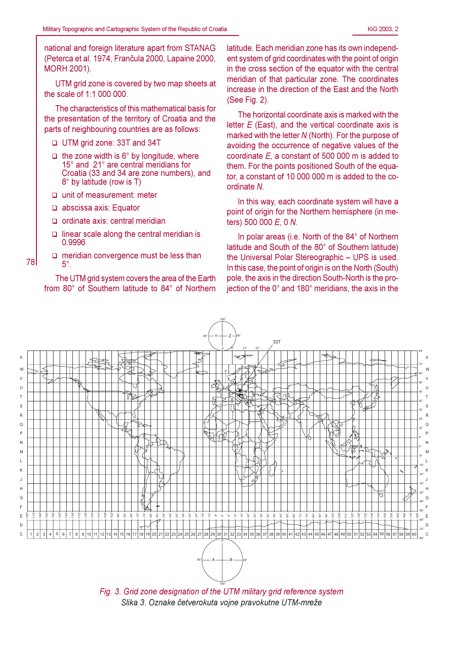national and foreign literature apart from STANAG (Peterca et al. 1974, Frančula 2000, Lapaine 2000, **MORH 2001).** 

UTM grid zone is covered by two map sheets at the scale of 1:1 000 000.

The characteristics of this mathematical basis for the presentation of the territory of Croatia and the parts of neighbouring countries are as follows:

- □ UTM grid zone: 33T and 34T
- $\Box$  the zone width is 6° by longitude, where 15° and 21° are central meridians for Croatia (33 and 34 are zone numbers), and 8° by latitude (row is T)
- □ unit of measurement: meter
- $\Box$  abscissa axis: Equator

78

- ordinate axis: central meridian
- $\Box$  linear scale along the central meridian is 0.9996
- $\Box$  meridian convergence must be less than  $5^\circ$ .

The UTM grid system covers the area of the Earth from 80° of Southern latitude to 84° of Northern

latitude. Each meridian zone has its own independent system of grid coordinates with the point of origin in the cross section of the equator with the central meridian of that particular zone. The coordinates increase in the direction of the East and the North (See Fig. 2).

The horizontal coordinate axis is marked with the letter  $E$  (East), and the vertical coordinate axis is marked with the letter N (North). For the purpose of avoiding the occurrence of negative values of the coordinate  $E$ , a constant of 500 000 m is added to them. For the points positioned South of the equator, a constant of 10 000 000 m is added to the coordinate N

In this way, each coordinate system will have a point of origin for the Northern hemisphere (in meters) 500 000 E, 0 N.

In polar areas (i.e. North of the 84° of Northern latitude and South of the 80° of Southern latitude) the Universal Polar Stereographic - UPS is used. In this case, the point of origin is on the North (South) pole, the axis in the direction South-North is the proiection of the 0° and 180° meridians, the axis in the



Fig. 3. Grid zone designation of the UTM military grid reference system Slika 3. Oznake četverokuta vojne pravokutne UTM-mreže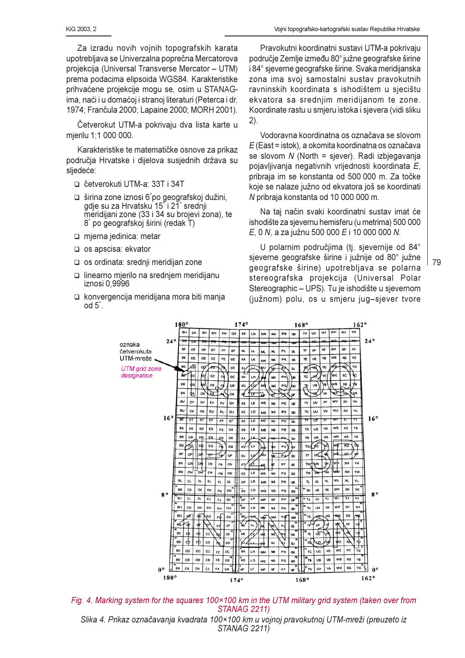Za izradu novih voinih topografskih karata upotrebljava se Univerzalna poprečna Mercatorova projekcija (Universal Transverse Mercator - UTM) prema podacima elipsoida WGS84. Karakteristike prihvaćene projekcije mogu se, osim u STANAGima, naći i u domaćoj i stranoj literaturi (Peterca i dr. 1974; Frančula 2000; Lapaine 2000; MORH 2001).

Četverokut UTM-a pokrivaju dva lista karte u mjerilu 1:1 000 000.

Karakteristike te matematičke osnove za prikaz područja Hrvatske i dijelova susjednih država su sljedeće:

- □ četverokuti UTM-a: 33T i 34T
- □ širina zone iznosi 6°po geografskoj dužini, gdje su za Hrvatsku 15<sup>°</sup> i 21<sup>°</sup> srednji meridijani zone (33 i 34 su brojevi zona), te 8° po geografskoj širini (redak T)
- mierna jedinica: metar
- □ os apscisa: ekvator
- □ os ordinata: srednji meridijan zone
- □ linearno mjerilo na srednjem meridijanu iznosi 0.9996
- □ konvergencija meridijana mora biti manja od  $5^\circ$ .

Pravokutni koordinatni sustavi UTM-a pokrivaju područje Zemlje između 80° južne geografske širine i 84° sjeverne geografske širine. Svaka meridijanska zona ima svoj samostalni sustav pravokutnih ravninskih koordinata s ishodištem u sjecištu ekvatora sa srednijm meridijanom te zone. Koordinate rastu u smjeru istoka i sjevera (vidi sliku  $(2)$ .

Vodoravna koordinatna os označava se slovom  $E$  (East = istok), a okomita koordinatna os označava se slovom N (North = sjever). Radi izbjegavanja pojavljivanja negativnih vrijednosti koordinata E, pribraja im se konstanta od 500 000 m. Za točke koje se nalaze južno od ekvatora još se koordinati N pribraja konstanta od 10 000 000 m.

Na taj način svaki koordinatni sustav imat će ishodište za sjevernu hemisferu (u metrima) 500 000 E, 0 N, a za južnu 500 000 E i 10 000 000 N.

U polarnim područjima (tj. sjevernije od 84° sjeverne geografske širine i južnije od 80° južne geografske širine) upotrebljava se polarna stereografska projekcija (Universal Polar Stereographic – UPS). Tu je ishodište u sjevernom (južnom) polu, os u smjeru jug-sjever tvore



Fig. 4. Marking system for the squares 100×100 km in the UTM military grid system (taken over from **STANAG 2211)** 

Slika 4. Prikaz označavanja kvadrata 100×100 km u vojnoj pravokutnoj UTM-mreži (preuzeto iz STANAG 2211)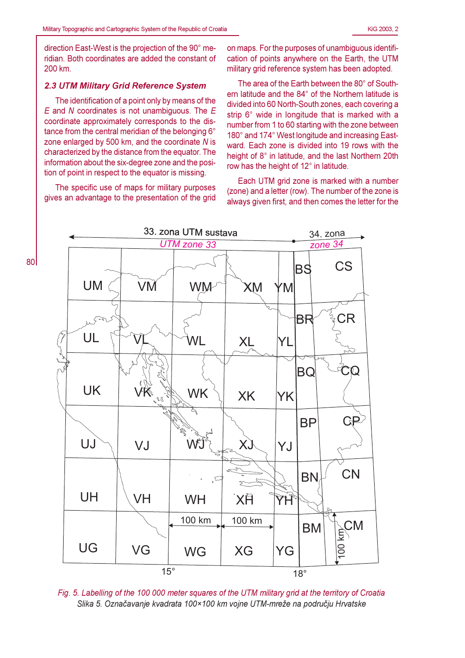direction East-West is the projection of the 90° meridian. Both coordinates are added the constant of 200 km.

#### 2.3 UTM Military Grid Reference System

The identification of a point only by means of the  $E$  and  $N$  coordinates is not unambiguous. The  $E$ coordinate approximately corresponds to the distance from the central meridian of the belonging 6° zone enlarged by 500 km, and the coordinate N is characterized by the distance from the equator. The information about the six-degree zone and the position of point in respect to the equator is missing.

The specific use of maps for military purposes gives an advantage to the presentation of the grid

on maps. For the purposes of unambiguous identification of points anywhere on the Earth, the UTM military grid reference system has been adopted.

The area of the Earth between the 80° of Southern latitude and the 84° of the Northern latitude is divided into 60 North-South zones, each covering a strip 6° wide in longitude that is marked with a number from 1 to 60 starting with the zone between 180° and 174° West longitude and increasing Eastward. Each zone is divided into 19 rows with the height of 8° in latitude, and the last Northern 20th row has the height of 12° in latitude.

Each UTM grid zone is marked with a number (zone) and a letter (row). The number of the zone is always given first, and then comes the letter for the



Fig. 5. Labelling of the 100 000 meter squares of the UTM military grid at the territory of Croatia Slika 5. Označavanje kvadrata 100×100 km vojne UTM-mreže na području Hrvatske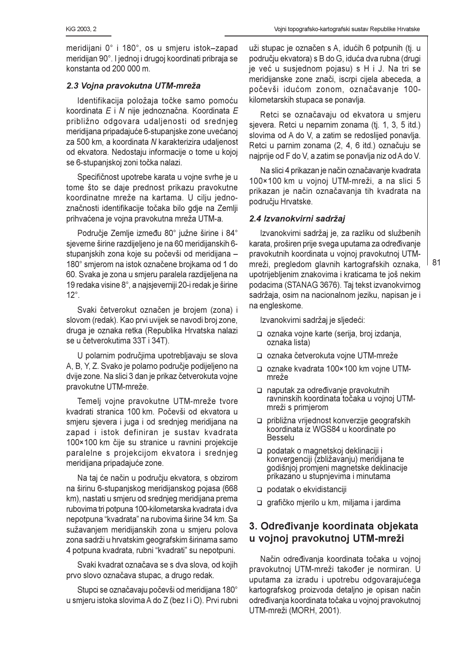meridijani 0° i 180°, os u smieru istok-zapad meridijan 90°. I jednoj i drugoj koordinati pribraja se konstanta od 200 000 m.

### 2.3 Voina pravokutna UTM-mreža

Identifikacija položaja točke samo pomoću koordinata E i N nije jednoznačna. Koordinata E približno odgovara udaljenosti od srednjeg meridijana pripadajuće 6-stupanjske zone uvećanoj za 500 km, a koordinata N karakterizira udaljenost od ekvatora. Nedostaju informacije o tome u kojoj se 6-stupaniskoj zoni točka nalazi.

Specifičnost upotrebe karata u voine svrhe je u tome što se daje prednost prikazu pravokutne koordinatne mreže na kartama. U cilju jednoznačnosti identifikacije točaka bilo gdje na Zemlji prihvaćena je vojna pravokutna mreža UTM-a.

Područje Zemlje između 80° južne širine i 84° sjeverne širine razdijeljeno je na 60 meridijanskih 6stupaniskih zona koje su počevši od meridijana -180° smjerom na istok označene brojkama od 1 do 60. Svaka je zona u smjeru paralela razdijeljena na 19 redaka visine 8°, a najsjeverniji 20-i redak je širine  $12^\circ$ .

Svaki četverokut označen je brojem (zona) i slovom (redak). Kao prvi uvijek se navodi broj zone, druga je oznaka retka (Republika Hrvatska nalazi se u četverokutima 33T i 34T).

U polarnim područjima upotrebljavaju se slova A, B, Y, Z. Svako je polarno područje podijeljeno na dvije zone. Na slici 3 dan je prikaz četverokuta vojne pravokutne UTM-mreže.

Temelj vojne pravokutne UTM-mreže tvore kvadrati stranica 100 km. Počevši od ekvatora u smjeru sjevera i juga i od srednjeg meridijana na zapad i istok definiran je sustav kvadrata 100×100 km čije su stranice u ravnini projekcije paralelne s projekcijom ekvatora i srednjeg meridijana pripadajuće zone.

Na taj će način u području ekvatora, s obzirom na širinu 6-stupanjskog meridijanskog pojasa (668 km), nastati u smjeru od srednjeg meridijana prema rubovima tri potpuna 100-kilometarska kvadrata i dva nepotpuna "kvadrata" na rubovima širine 34 km. Sa sužavanjem meridijanskih zona u smjeru polova zona sadrži u hrvatskim geografskim širinama samo 4 potpuna kvadrata, rubni "kvadrati" su nepotpuni.

Svaki kvadrat označava se s dva slova, od kojih prvo slovo označava stupac, a drugo redak.

Stupci se označavaju počevši od meridijana 180° u smjeru istoka slovima A do Z (bez I i O). Prvi rubni

uži stupac je označen s A, idućih 6 potpunih (tj. u području ekvatora) s B do G, iduća dva rubna (drugi je već u susjednom pojasu) s H i J. Na tri se meridijanske zone znači, iscrpi cijela abeceda, a počevši idućom zonom, označavanje 100kilometarskih stupaca se ponavlia.

Retci se označavaju od ekvatora u smjeru sjevera. Retci u neparnim zonama (tj. 1, 3, 5 itd.) slovima od A do V, a zatim se redoslijed ponavlja. Retci u parnim zonama (2, 4, 6 itd.) označuju se najprije od F do V, a zatim se ponavlja niz od A do V.

Na slici 4 prikazan je način označavanje kvadrata 100×100 km u vojnoj UTM-mreži, a na slici 5 prikazan je način označavanja tih kvadrata na području Hrvatske.

## 2.4 Izvanokvirni sadržaj

Izvanokvirni sadržaj je, za razliku od službenih karata, proširen prije svega uputama za određivanje pravokutnih koordinata u voinoi pravokutnoi UTMmreži, pregledom glavnih kartografskih oznaka, upotrijebljenim znakovima i kraticama te još nekim podacima (STANAG 3676). Taj tekst izvanokvirnog sadržaja, osim na nacionalnom jeziku, napisan je i na engleskome.

Izvanokvirni sadržaj je sljedeći:

- oznaka vojne karte (serija, broj izdanja, oznaka lista)
- □ oznaka četverokuta vojne UTM-mreže
- oznake kvadrata 100×100 km vojne UTMmreže
- naputak za određivanie pravokutnih ravninskih koordinata točaka u vojnoj UTMmreži s primjerom
- □ približna vrijednost konverzije geografskih koordinata iz WGS84 u koordinate po **Besselu**
- podatak o magnetskoj deklinaciji i konvergenciji (zbližavanju) meridijana te godišnjoj promjeni magnetske deklinacije prikazano u stupnjevima i minutama
- $\Box$  podatak o ekvidistanciji
- □ grafičko mjerilo u km, miljama i jardima

# 3. Određivanje koordinata objekata u vojnoj pravokutnoj UTM-mreži

Način određivanja koordinata točaka u vojnoj pravokutnoj UTM-mreži također je normiran. U uputama za izradu i upotrebu odgovarajućega kartografskog proizvoda detaljno je opisan način određivanja koordinata točaka u vojnoj pravokutnoj UTM-mreži (MORH, 2001).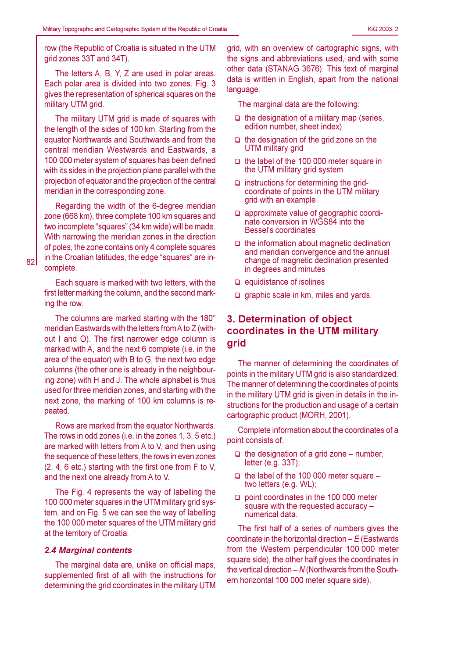row (the Republic of Croatia is situated in the UTM grid zones 33T and 34T).

The letters A, B, Y, Z are used in polar areas. Each polar area is divided into two zones. Fig. 3 gives the representation of spherical squares on the military UTM grid.

The military UTM grid is made of squares with the length of the sides of 100 km. Starting from the equator Northwards and Southwards and from the central meridian Westwards and Eastwards, a 100 000 meter system of squares has been defined with its sides in the projection plane parallel with the projection of equator and the projection of the central meridian in the corresponding zone.

Regarding the width of the 6-degree meridian zone (668 km), three complete 100 km squares and two incomplete "squares" (34 km wide) will be made. With narrowing the meridian zones in the direction of poles, the zone contains only 4 complete squares in the Croatian latitudes, the edge "squares" are incomplete.

Each square is marked with two letters, with the first letter marking the column, and the second marking the row.

The columns are marked starting with the 180° meridian Eastwards with the letters from A to Z (without I and O). The first narrower edge column is marked with A, and the next 6 complete (i.e. in the area of the equator) with B to G, the next two edge columns (the other one is already in the neighbouring zone) with H and J. The whole alphabet is thus used for three meridian zones, and starting with the next zone, the marking of 100 km columns is repeated.

Rows are marked from the equator Northwards. The rows in odd zones (i.e. in the zones 1, 3, 5 etc.) are marked with letters from A to V, and then using the sequence of these letters, the rows in even zones (2.4, 6 etc.) starting with the first one from F to V. and the next one already from A to V.

The Fig. 4 represents the way of labelling the 100 000 meter squares in the UTM military grid system, and on Fig. 5 we can see the way of labelling the 100 000 meter squares of the UTM military grid at the territory of Croatia.

#### **2.4 Marginal contents**

The marginal data are, unlike on official maps, supplemented first of all with the instructions for determining the grid coordinates in the military UTM

grid, with an overview of cartographic signs, with the signs and abbreviations used, and with some other data (STANAG 3676). This text of marginal data is written in English, apart from the national language.

The marginal data are the following:

- $\Box$  the designation of a military map (series, edition number, sheet index)
- $\Box$  the designation of the grid zone on the **UTM** military grid
- $\Box$  the label of the 100 000 meter square in the UTM military grid system
- $\Box$  instructions for determining the gridcoordinate of points in the UTM military grid with an example
- approximate value of geographic coordinate conversion in WGS84 into the Bessel's coordinates
- $\Box$  the information about magnetic declination and meridian convergence and the annual change of magnetic declination presented in degrees and minutes
- $\Box$  equidistance of isolines
- $\Box$  graphic scale in km, miles and yards.

# 3. Determination of object coordinates in the UTM military grid

The manner of determining the coordinates of points in the military UTM grid is also standardized. The manner of determining the coordinates of points in the military UTM grid is given in details in the instructions for the production and usage of a certain cartographic product (MORH, 2001).

Complete information about the coordinates of a point consists of:

- $\Box$  the designation of a grid zone number, letter (e.g.  $33T$ );
- $\Box$  the label of the 100 000 meter square two letters (e.g. WL);
- $\Box$  point coordinates in the 100 000 meter square with the requested accuracy numerical data.

The first half of a series of numbers gives the coordinate in the horizontal direction  $-E$  (Eastwards from the Western perpendicular 100 000 meter square side), the other half gives the coordinates in the vertical direction  $- N$  (Northwards from the Southern horizontal 100 000 meter square side).

82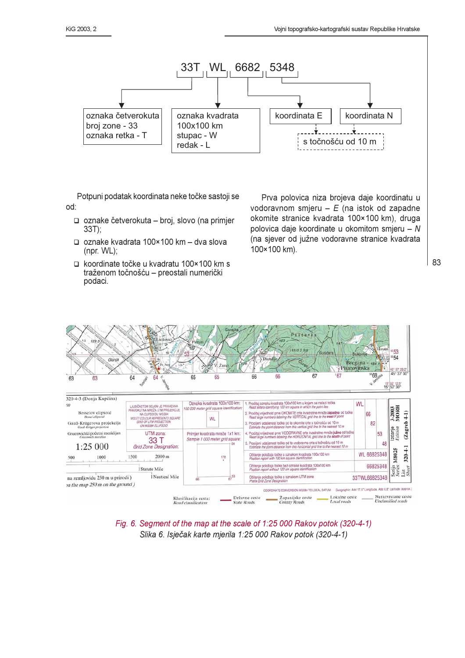

Potpuni podatak koordinata neke točke sastoji se od:

- □ oznake četverokuta broj, slovo (na primjer  $33T$ :
- □ oznake kvadrata 100×100 km dva slova (npr.  $WL$ );
- □ koordinate točke u kvadratu 100×100 km s traženom točnošću - preostali numerički podaci.

Prva polovica niza brojeva daje koordinatu u vodoravnom smjeru  $-E$  (na istok od zapadne okomite stranice kvadrata 100×100 km), druga polovica daje koordinate u okomitom smjeru - N (na sjever od južne vodoravne stranice kvadrata 100×100 km).





Fig. 6. Segment of the map at the scale of 1:25 000 Rakov potok (320-4-1) Slika 6. Isiečak karte mierila 1:25 000 Rakov potok (320-4-1)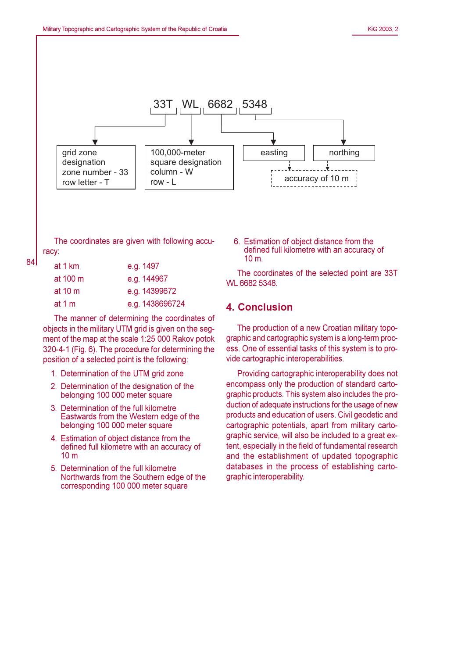

The coordinates are given with following accuracy:

| at 1 km      | e.g. 1497       |
|--------------|-----------------|
| at 100 m     | e.g. 144967     |
| at 10 $\,$ m | e.g. 14399672   |
| at 1 $m$     | e.g. 1438696724 |

The manner of determining the coordinates of objects in the military UTM grid is given on the segment of the map at the scale 1:25 000 Rakov potok 320-4-1 (Fig. 6). The procedure for determining the position of a selected point is the following:

- 1. Determination of the UTM grid zone
- 2. Determination of the designation of the belonging 100 000 meter square
- 3. Determination of the full kilometre Eastwards from the Western edge of the belonging 100 000 meter square
- 4. Estimation of object distance from the defined full kilometre with an accuracy of  $10<sub>m</sub>$
- 5. Determination of the full kilometre Northwards from the Southern edge of the corresponding 100 000 meter square

6. Estimation of object distance from the defined full kilometre with an accuracy of  $10 \text{ m}$ .

The coordinates of the selected point are 33T WL 6682 5348.

## 4. Conclusion

The production of a new Croatian military topographic and cartographic system is a long-term process. One of essential tasks of this system is to provide cartographic interoperabilities.

Providing cartographic interoperability does not encompass only the production of standard cartographic products. This system also includes the production of adequate instructions for the usage of new products and education of users. Civil geodetic and cartographic potentials, apart from military cartographic service, will also be included to a great extent, especially in the field of fundamental research and the establishment of updated topographic databases in the process of establishing cartographic interoperability.

84